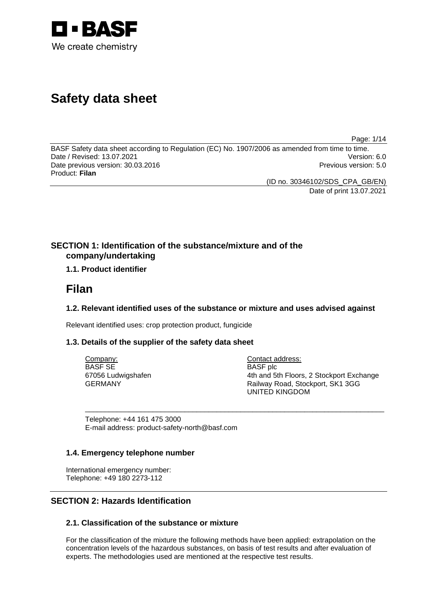

# **Safety data sheet**

Page: 1/14

BASF Safety data sheet according to Regulation (EC) No. 1907/2006 as amended from time to time. Date / Revised: 13.07.2021 Version: 6.0 Date previous version: 30.03.2016 **Previous version: 5.0** Previous version: 5.0 Product: **Filan** 

(ID no. 30346102/SDS\_CPA\_GB/EN)

Date of print 13.07.2021

# **SECTION 1: Identification of the substance/mixture and of the company/undertaking**

# **1.1. Product identifier**

# **Filan**

# **1.2. Relevant identified uses of the substance or mixture and uses advised against**

\_\_\_\_\_\_\_\_\_\_\_\_\_\_\_\_\_\_\_\_\_\_\_\_\_\_\_\_\_\_\_\_\_\_\_\_\_\_\_\_\_\_\_\_\_\_\_\_\_\_\_\_\_\_\_\_\_\_\_\_\_\_\_\_\_\_\_\_\_\_\_\_\_\_\_

Relevant identified uses: crop protection product, fungicide

# **1.3. Details of the supplier of the safety data sheet**

Company: BASF SE 67056 Ludwigshafen GERMANY

Contact address: BASF plc 4th and 5th Floors, 2 Stockport Exchange Railway Road, Stockport, SK1 3GG UNITED KINGDOM

Telephone: +44 161 475 3000 E-mail address: product-safety-north@basf.com

# **1.4. Emergency telephone number**

International emergency number: Telephone: +49 180 2273-112

# **SECTION 2: Hazards Identification**

# **2.1. Classification of the substance or mixture**

For the classification of the mixture the following methods have been applied: extrapolation on the concentration levels of the hazardous substances, on basis of test results and after evaluation of experts. The methodologies used are mentioned at the respective test results.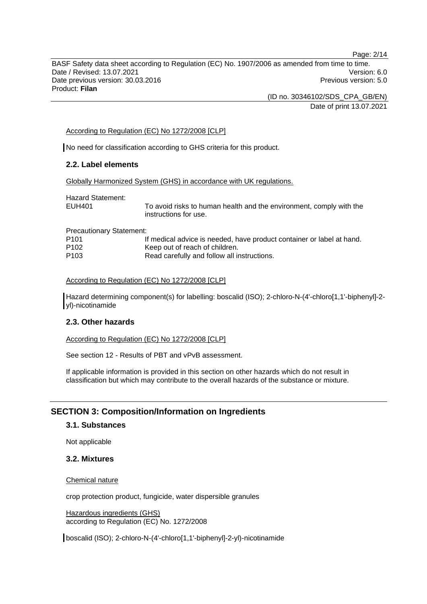BASF Safety data sheet according to Regulation (EC) No. 1907/2006 as amended from time to time. Date / Revised: 13.07.2021 Version: 6.0 Date previous version: 30.03.2016 **Previous version: 5.0** Previous version: 5.0 Product: **Filan** 

> (ID no. 30346102/SDS\_CPA\_GB/EN) Date of print 13.07.2021

### According to Regulation (EC) No 1272/2008 [CLP]

No need for classification according to GHS criteria for this product.

# **2.2. Label elements**

Globally Harmonized System (GHS) in accordance with UK regulations.

Hazard Statement: EUH401 To avoid risks to human health and the environment, comply with the instructions for use. Precautionary Statement: P101 If medical advice is needed, have product container or label at hand. P102 Keep out of reach of children. P103 Read carefully and follow all instructions.

#### According to Regulation (EC) No 1272/2008 [CLP]

Hazard determining component(s) for labelling: boscalid (ISO); 2-chloro-N-(4'-chloro[1,1'-biphenyl]-2 yl)-nicotinamide

#### **2.3. Other hazards**

According to Regulation (EC) No 1272/2008 [CLP]

See section 12 - Results of PBT and vPvB assessment.

If applicable information is provided in this section on other hazards which do not result in classification but which may contribute to the overall hazards of the substance or mixture.

# **SECTION 3: Composition/Information on Ingredients**

#### **3.1. Substances**

Not applicable

# **3.2. Mixtures**

Chemical nature

crop protection product, fungicide, water dispersible granules

Hazardous ingredients (GHS) according to Regulation (EC) No. 1272/2008

boscalid (ISO); 2-chloro-N-(4'-chloro[1,1'-biphenyl]-2-yl)-nicotinamide

Page: 2/14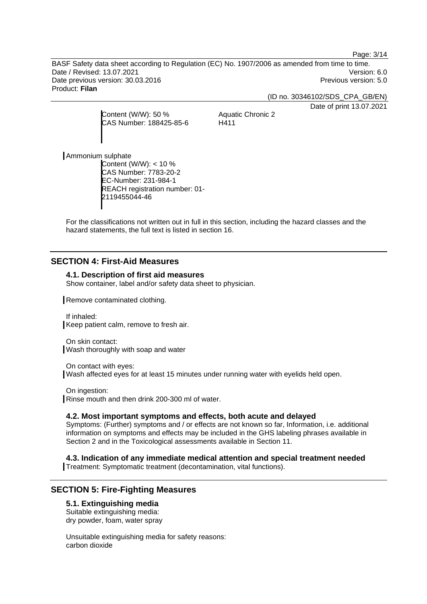Page: 3/14

BASF Safety data sheet according to Regulation (EC) No. 1907/2006 as amended from time to time. Date / Revised: 13.07.2021 Version: 6.0 Date previous version: 30.03.2016 **Previous version: 5.0** Previous version: 5.0 Product: **Filan** 

(ID no. 30346102/SDS\_CPA\_GB/EN)

Date of print 13.07.2021

Content (W/W): 50 % CAS Number: 188425-85-6

Aquatic Chronic 2 H411

Ammonium sulphate

Content (W/W): < 10 % CAS Number: 7783-20-2 EC-Number: 231-984-1 REACH registration number: 01- 2119455044-46

For the classifications not written out in full in this section, including the hazard classes and the hazard statements, the full text is listed in section 16.

# **SECTION 4: First-Aid Measures**

# **4.1. Description of first aid measures**

Show container, label and/or safety data sheet to physician.

Remove contaminated clothing.

If inhaled: Keep patient calm, remove to fresh air.

On skin contact: Wash thoroughly with soap and water

On contact with eyes: Wash affected eyes for at least 15 minutes under running water with eyelids held open.

On ingestion: Rinse mouth and then drink 200-300 ml of water.

### **4.2. Most important symptoms and effects, both acute and delayed**

Symptoms: (Further) symptoms and / or effects are not known so far, Information, i.e. additional information on symptoms and effects may be included in the GHS labeling phrases available in Section 2 and in the Toxicological assessments available in Section 11.

**4.3. Indication of any immediate medical attention and special treatment needed** 

Treatment: Symptomatic treatment (decontamination, vital functions).

# **SECTION 5: Fire-Fighting Measures**

### **5.1. Extinguishing media**

Suitable extinguishing media: dry powder, foam, water spray

Unsuitable extinguishing media for safety reasons: carbon dioxide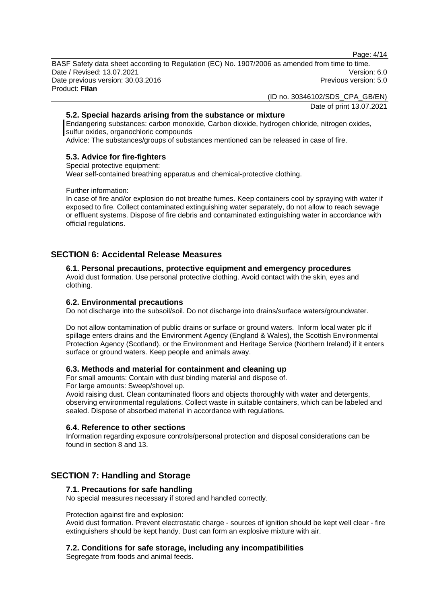Page: 4/14

BASF Safety data sheet according to Regulation (EC) No. 1907/2006 as amended from time to time. Date / Revised: 13.07.2021 Version: 6.0 Date previous version: 30.03.2016 **Previous version: 5.0** Previous version: 5.0 Product: **Filan** 

(ID no. 30346102/SDS\_CPA\_GB/EN)

Date of print 13.07.2021

# **5.2. Special hazards arising from the substance or mixture**

Endangering substances: carbon monoxide, Carbon dioxide, hydrogen chloride, nitrogen oxides, sulfur oxides, organochloric compounds

Advice: The substances/groups of substances mentioned can be released in case of fire.

# **5.3. Advice for fire-fighters**

Special protective equipment:

Wear self-contained breathing apparatus and chemical-protective clothing.

Further information:

In case of fire and/or explosion do not breathe fumes. Keep containers cool by spraying with water if exposed to fire. Collect contaminated extinguishing water separately, do not allow to reach sewage or effluent systems. Dispose of fire debris and contaminated extinguishing water in accordance with official regulations.

# **SECTION 6: Accidental Release Measures**

#### **6.1. Personal precautions, protective equipment and emergency procedures**  Avoid dust formation. Use personal protective clothing. Avoid contact with the skin, eyes and clothing.

# **6.2. Environmental precautions**

Do not discharge into the subsoil/soil. Do not discharge into drains/surface waters/groundwater.

Do not allow contamination of public drains or surface or ground waters. Inform local water plc if spillage enters drains and the Environment Agency (England & Wales), the Scottish Environmental Protection Agency (Scotland), or the Environment and Heritage Service (Northern Ireland) if it enters surface or ground waters. Keep people and animals away.

# **6.3. Methods and material for containment and cleaning up**

For small amounts: Contain with dust binding material and dispose of. For large amounts: Sweep/shovel up.

Avoid raising dust. Clean contaminated floors and objects thoroughly with water and detergents, observing environmental regulations. Collect waste in suitable containers, which can be labeled and sealed. Dispose of absorbed material in accordance with regulations.

# **6.4. Reference to other sections**

Information regarding exposure controls/personal protection and disposal considerations can be found in section 8 and 13.

# **SECTION 7: Handling and Storage**

# **7.1. Precautions for safe handling**

No special measures necessary if stored and handled correctly.

Protection against fire and explosion:

Avoid dust formation. Prevent electrostatic charge - sources of ignition should be kept well clear - fire extinguishers should be kept handy. Dust can form an explosive mixture with air.

# **7.2. Conditions for safe storage, including any incompatibilities**

Segregate from foods and animal feeds.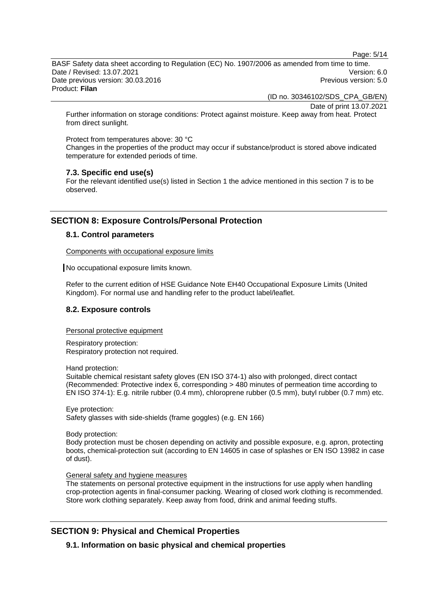Page: 5/14

BASF Safety data sheet according to Regulation (EC) No. 1907/2006 as amended from time to time. Date / Revised: 13.07.2021 Version: 6.0 Date previous version: 30.03.2016 **Previous version: 5.0** Previous version: 5.0 Product: **Filan** 

(ID no. 30346102/SDS\_CPA\_GB/EN)

Date of print 13.07.2021

Further information on storage conditions: Protect against moisture. Keep away from heat. Protect from direct sunlight.

Protect from temperatures above: 30 °C

Changes in the properties of the product may occur if substance/product is stored above indicated temperature for extended periods of time.

# **7.3. Specific end use(s)**

For the relevant identified use(s) listed in Section 1 the advice mentioned in this section 7 is to be observed.

# **SECTION 8: Exposure Controls/Personal Protection**

# **8.1. Control parameters**

Components with occupational exposure limits

No occupational exposure limits known.

Refer to the current edition of HSE Guidance Note EH40 Occupational Exposure Limits (United Kingdom). For normal use and handling refer to the product label/leaflet.

# **8.2. Exposure controls**

Personal protective equipment

Respiratory protection: Respiratory protection not required.

Hand protection:

Suitable chemical resistant safety gloves (EN ISO 374-1) also with prolonged, direct contact (Recommended: Protective index 6, corresponding > 480 minutes of permeation time according to EN ISO 374-1): E.g. nitrile rubber (0.4 mm), chloroprene rubber (0.5 mm), butyl rubber (0.7 mm) etc.

Eye protection: Safety glasses with side-shields (frame goggles) (e.g. EN 166)

Body protection:

Body protection must be chosen depending on activity and possible exposure, e.g. apron, protecting boots, chemical-protection suit (according to EN 14605 in case of splashes or EN ISO 13982 in case of dust).

# General safety and hygiene measures

The statements on personal protective equipment in the instructions for use apply when handling crop-protection agents in final-consumer packing. Wearing of closed work clothing is recommended. Store work clothing separately. Keep away from food, drink and animal feeding stuffs.

# **SECTION 9: Physical and Chemical Properties**

**9.1. Information on basic physical and chemical properties**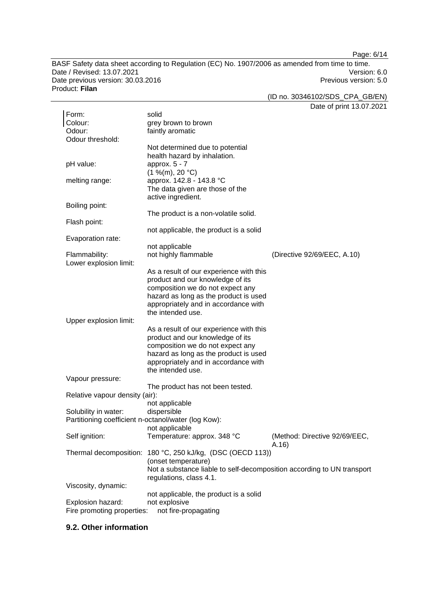Page: 6/14

BASF Safety data sheet according to Regulation (EC) No. 1907/2006 as amended from time to time. Date / Revised: 13.07.2021 Version: 6.0<br>Date previous version: 30.03.2016 Version: 50 Date previous version: 30.03.2016 Product: **Filan** 

(ID no. 30346102/SDS\_CPA\_GB/EN)

Date of print 13.07.2021

| Form:                                               | solid                                                                  |                               |
|-----------------------------------------------------|------------------------------------------------------------------------|-------------------------------|
| Colour:                                             | grey brown to brown                                                    |                               |
| Odour:                                              | faintly aromatic                                                       |                               |
| Odour threshold:                                    |                                                                        |                               |
|                                                     | Not determined due to potential                                        |                               |
|                                                     | health hazard by inhalation.                                           |                               |
| pH value:                                           | approx. $5 - 7$                                                        |                               |
|                                                     | (1 %(m), 20 °C)                                                        |                               |
| melting range:                                      | approx. 142.8 - 143.8 °C                                               |                               |
|                                                     | The data given are those of the                                        |                               |
|                                                     | active ingredient.                                                     |                               |
| Boiling point:                                      |                                                                        |                               |
|                                                     | The product is a non-volatile solid.                                   |                               |
| Flash point:                                        |                                                                        |                               |
|                                                     | not applicable, the product is a solid                                 |                               |
| Evaporation rate:                                   |                                                                        |                               |
|                                                     | not applicable                                                         |                               |
| Flammability:                                       | not highly flammable                                                   | (Directive 92/69/EEC, A.10)   |
| Lower explosion limit:                              |                                                                        |                               |
|                                                     | As a result of our experience with this                                |                               |
|                                                     | product and our knowledge of its                                       |                               |
|                                                     | composition we do not expect any                                       |                               |
|                                                     | hazard as long as the product is used                                  |                               |
|                                                     | appropriately and in accordance with                                   |                               |
|                                                     | the intended use.                                                      |                               |
| Upper explosion limit:                              |                                                                        |                               |
|                                                     | As a result of our experience with this                                |                               |
|                                                     | product and our knowledge of its                                       |                               |
|                                                     | composition we do not expect any                                       |                               |
|                                                     | hazard as long as the product is used                                  |                               |
|                                                     | appropriately and in accordance with                                   |                               |
|                                                     | the intended use.                                                      |                               |
| Vapour pressure:                                    |                                                                        |                               |
|                                                     | The product has not been tested.                                       |                               |
| Relative vapour density (air):                      |                                                                        |                               |
|                                                     | not applicable                                                         |                               |
| Solubility in water:                                | dispersible                                                            |                               |
| Partitioning coefficient n-octanol/water (log Kow): |                                                                        |                               |
|                                                     | not applicable                                                         |                               |
| Self ignition:                                      | Temperature: approx. 348 °C                                            | (Method: Directive 92/69/EEC, |
|                                                     |                                                                        | A.16                          |
| Thermal decomposition:                              | 180 °C, 250 kJ/kg, (DSC (OECD 113))                                    |                               |
|                                                     | (onset temperature)                                                    |                               |
|                                                     | Not a substance liable to self-decomposition according to UN transport |                               |
|                                                     | regulations, class 4.1.                                                |                               |
| Viscosity, dynamic:                                 |                                                                        |                               |
|                                                     | not applicable, the product is a solid                                 |                               |
| Explosion hazard:                                   | not explosive                                                          |                               |
| Fire promoting properties:                          | not fire-propagating                                                   |                               |
|                                                     |                                                                        |                               |

# **9.2. Other information**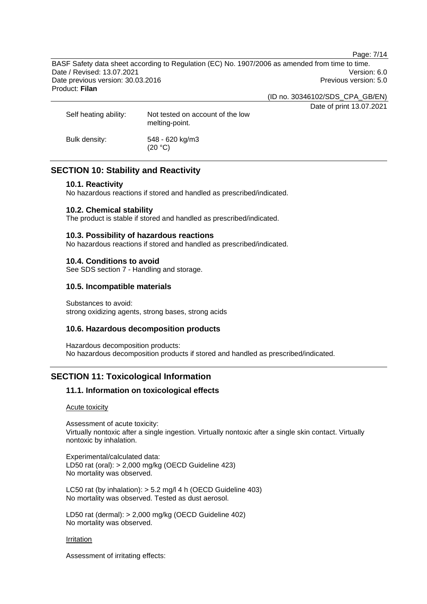Page: 7/14

BASF Safety data sheet according to Regulation (EC) No. 1907/2006 as amended from time to time. Date / Revised: 13.07.2021 Version: 6.0 Date previous version: 30.03.2016 **Previous version: 5.0** Previous version: 5.0 Product: **Filan** 

(ID no. 30346102/SDS\_CPA\_GB/EN)

Date of print 13.07.2021 Self heating ability: Not tested on account of the low melting-point. Bulk density: 548 - 620 kg/m3 (20 °C)

# **SECTION 10: Stability and Reactivity**

### **10.1. Reactivity**

No hazardous reactions if stored and handled as prescribed/indicated.

### **10.2. Chemical stability**

The product is stable if stored and handled as prescribed/indicated.

### **10.3. Possibility of hazardous reactions**

No hazardous reactions if stored and handled as prescribed/indicated.

### **10.4. Conditions to avoid**

See SDS section 7 - Handling and storage.

# **10.5. Incompatible materials**

Substances to avoid: strong oxidizing agents, strong bases, strong acids

### **10.6. Hazardous decomposition products**

Hazardous decomposition products: No hazardous decomposition products if stored and handled as prescribed/indicated.

# **SECTION 11: Toxicological Information**

# **11.1. Information on toxicological effects**

#### Acute toxicity

Assessment of acute toxicity: Virtually nontoxic after a single ingestion. Virtually nontoxic after a single skin contact. Virtually nontoxic by inhalation.

Experimental/calculated data: LD50 rat (oral): > 2,000 mg/kg (OECD Guideline 423) No mortality was observed.

LC50 rat (by inhalation): > 5.2 mg/l 4 h (OECD Guideline 403) No mortality was observed. Tested as dust aerosol.

LD50 rat (dermal): > 2,000 mg/kg (OECD Guideline 402) No mortality was observed.

#### Irritation

Assessment of irritating effects: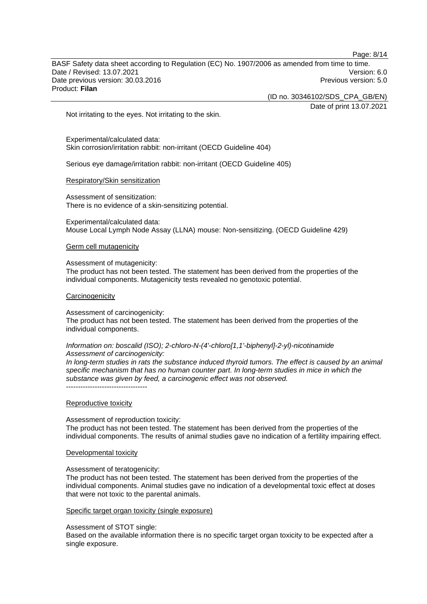BASF Safety data sheet according to Regulation (EC) No. 1907/2006 as amended from time to time. Date / Revised: 13.07.2021 Version: 6.0 Date previous version: 30.03.2016 **Previous version: 5.0** Previous version: 5.0 Product: **Filan** 

(ID no. 30346102/SDS\_CPA\_GB/EN)

Date of print 13.07.2021

Not irritating to the eyes. Not irritating to the skin.

Experimental/calculated data: Skin corrosion/irritation rabbit: non-irritant (OECD Guideline 404)

Serious eye damage/irritation rabbit: non-irritant (OECD Guideline 405)

#### Respiratory/Skin sensitization

Assessment of sensitization: There is no evidence of a skin-sensitizing potential.

Experimental/calculated data: Mouse Local Lymph Node Assay (LLNA) mouse: Non-sensitizing. (OECD Guideline 429)

#### Germ cell mutagenicity

#### Assessment of mutagenicity:

The product has not been tested. The statement has been derived from the properties of the individual components. Mutagenicity tests revealed no genotoxic potential.

#### **Carcinogenicity**

#### Assessment of carcinogenicity:

The product has not been tested. The statement has been derived from the properties of the individual components.

#### *Information on: boscalid (ISO); 2-chloro-N-(4'-chloro[1,1'-biphenyl]-2-yl)-nicotinamide Assessment of carcinogenicity:*

*In long-term studies in rats the substance induced thyroid tumors. The effect is caused by an animal specific mechanism that has no human counter part. In long-term studies in mice in which the substance was given by feed, a carcinogenic effect was not observed.*  ----------------------------------

#### Reproductive toxicity

Assessment of reproduction toxicity: The product has not been tested. The statement has been derived from the properties of the individual components. The results of animal studies gave no indication of a fertility impairing effect.

#### Developmental toxicity

Assessment of teratogenicity:

The product has not been tested. The statement has been derived from the properties of the individual components. Animal studies gave no indication of a developmental toxic effect at doses that were not toxic to the parental animals.

#### Specific target organ toxicity (single exposure)

#### Assessment of STOT single:

Based on the available information there is no specific target organ toxicity to be expected after a single exposure.

Page: 8/14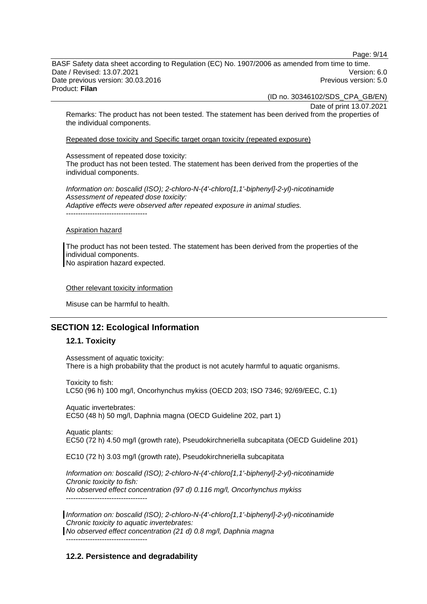Page: 9/14

BASF Safety data sheet according to Regulation (EC) No. 1907/2006 as amended from time to time. Date / Revised: 13.07.2021 Version: 6.0 Date previous version: 30.03.2016 **Previous version: 5.0** Previous version: 5.0 Product: **Filan** 

(ID no. 30346102/SDS\_CPA\_GB/EN)

Date of print 13.07.2021

Remarks: The product has not been tested. The statement has been derived from the properties of the individual components.

Repeated dose toxicity and Specific target organ toxicity (repeated exposure)

Assessment of repeated dose toxicity:

The product has not been tested. The statement has been derived from the properties of the individual components.

*Information on: boscalid (ISO); 2-chloro-N-(4'-chloro[1,1'-biphenyl]-2-yl)-nicotinamide Assessment of repeated dose toxicity: Adaptive effects were observed after repeated exposure in animal studies.*  ----------------------------------

#### Aspiration hazard

The product has not been tested. The statement has been derived from the properties of the individual components. No aspiration hazard expected.

Other relevant toxicity information

Misuse can be harmful to health.

# **SECTION 12: Ecological Information**

# **12.1. Toxicity**

Assessment of aquatic toxicity: There is a high probability that the product is not acutely harmful to aquatic organisms.

Toxicity to fish: LC50 (96 h) 100 mg/l, Oncorhynchus mykiss (OECD 203; ISO 7346; 92/69/EEC, C.1)

Aquatic invertebrates: EC50 (48 h) 50 mg/l, Daphnia magna (OECD Guideline 202, part 1)

Aquatic plants: EC50 (72 h) 4.50 mg/l (growth rate), Pseudokirchneriella subcapitata (OECD Guideline 201)

EC10 (72 h) 3.03 mg/l (growth rate), Pseudokirchneriella subcapitata

*Information on: boscalid (ISO); 2-chloro-N-(4'-chloro[1,1'-biphenyl]-2-yl)-nicotinamide Chronic toxicity to fish: No observed effect concentration (97 d) 0.116 mg/l, Oncorhynchus mykiss*  ----------------------------------

*Information on: boscalid (ISO); 2-chloro-N-(4'-chloro[1,1'-biphenyl]-2-yl)-nicotinamide Chronic toxicity to aquatic invertebrates:* 

*No observed effect concentration (21 d) 0.8 mg/l, Daphnia magna*  ----------------------------------

# **12.2. Persistence and degradability**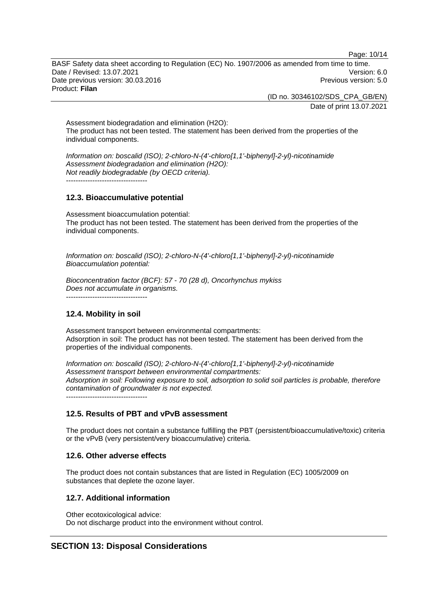Page: 10/14

BASF Safety data sheet according to Regulation (EC) No. 1907/2006 as amended from time to time. Date / Revised: 13.07.2021 Version: 6.0 Date previous version: 30.03.2016 **Previous version: 5.0** Previous version: 5.0 Product: **Filan** 

> (ID no. 30346102/SDS\_CPA\_GB/EN) Date of print 13.07.2021

Assessment biodegradation and elimination (H2O): The product has not been tested. The statement has been derived from the properties of the individual components.

*Information on: boscalid (ISO); 2-chloro-N-(4'-chloro[1,1'-biphenyl]-2-yl)-nicotinamide Assessment biodegradation and elimination (H2O): Not readily biodegradable (by OECD criteria).*  ----------------------------------

# **12.3. Bioaccumulative potential**

Assessment bioaccumulation potential: The product has not been tested. The statement has been derived from the properties of the individual components.

*Information on: boscalid (ISO); 2-chloro-N-(4'-chloro[1,1'-biphenyl]-2-yl)-nicotinamide Bioaccumulation potential:* 

*Bioconcentration factor (BCF): 57 - 70 (28 d), Oncorhynchus mykiss Does not accumulate in organisms.* 

----------------------------------

# **12.4. Mobility in soil**

Assessment transport between environmental compartments: Adsorption in soil: The product has not been tested. The statement has been derived from the properties of the individual components.

*Information on: boscalid (ISO); 2-chloro-N-(4'-chloro[1,1'-biphenyl]-2-yl)-nicotinamide Assessment transport between environmental compartments: Adsorption in soil: Following exposure to soil, adsorption to solid soil particles is probable, therefore contamination of groundwater is not expected.* ----------------------------------

# **12.5. Results of PBT and vPvB assessment**

The product does not contain a substance fulfilling the PBT (persistent/bioaccumulative/toxic) criteria or the vPvB (very persistent/very bioaccumulative) criteria.

# **12.6. Other adverse effects**

The product does not contain substances that are listed in Regulation (EC) 1005/2009 on substances that deplete the ozone layer.

# **12.7. Additional information**

Other ecotoxicological advice: Do not discharge product into the environment without control.

# **SECTION 13: Disposal Considerations**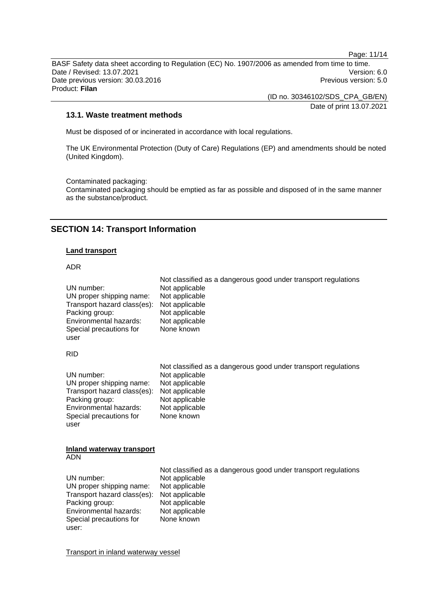Page: 11/14

BASF Safety data sheet according to Regulation (EC) No. 1907/2006 as amended from time to time. Date / Revised: 13.07.2021 Version: 6.0 Date previous version: 30.03.2016 **Previous version: 5.0** Previous version: 5.0 Product: **Filan** 

> (ID no. 30346102/SDS\_CPA\_GB/EN) Date of print 13.07.2021

# **13.1. Waste treatment methods**

Must be disposed of or incinerated in accordance with local regulations.

The UK Environmental Protection (Duty of Care) Regulations (EP) and amendments should be noted (United Kingdom).

Contaminated packaging:

Contaminated packaging should be emptied as far as possible and disposed of in the same manner as the substance/product.

# **SECTION 14: Transport Information**

### **Land transport**

# ADR

| UN number:                                     | Not classified as a dangerous good under transport regulations |
|------------------------------------------------|----------------------------------------------------------------|
| UN proper shipping name:                       | Not applicable                                                 |
| Transport hazard class(es):                    | Not applicable                                                 |
| Packing group:                                 | Not applicable                                                 |
| Environmental hazards:                         | Not applicable                                                 |
| Special precautions for                        | Not applicable                                                 |
| user                                           | None known                                                     |
| <b>RID</b>                                     |                                                                |
| UN number:                                     | Not classified as a dangerous good under transport regulations |
| UN proper shipping name:                       | Not applicable                                                 |
| Transport hazard class(es):                    | Not applicable                                                 |
| Packing group:                                 | Not applicable                                                 |
| Environmental hazards:                         | Not applicable                                                 |
| Special precautions for                        | Not applicable                                                 |
| user                                           | None known                                                     |
| <b>Inland waterway transport</b><br><b>ADN</b> |                                                                |
| UN number:                                     | Not classified as a dangerous good under transport regulations |
| UN proper shipping name:                       | Not applicable                                                 |
| Transport hazard class(es):                    | Not applicable                                                 |
| Packing group:                                 | Not applicable                                                 |
| Environmental hazards:                         | Not applicable                                                 |
| Special precautions for                        | Not applicable                                                 |
| user:                                          | None known                                                     |

Transport in inland waterway vessel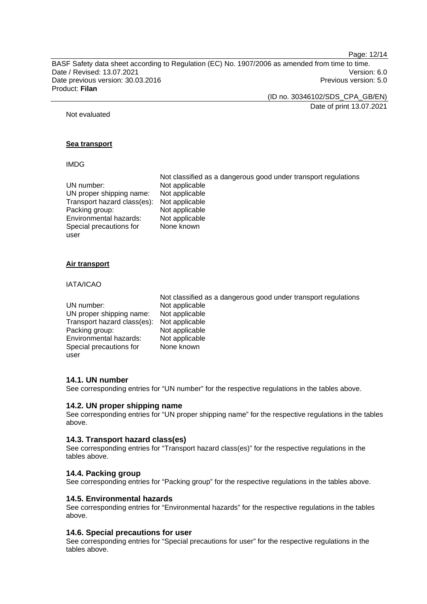Page: 12/14

BASF Safety data sheet according to Regulation (EC) No. 1907/2006 as amended from time to time. Date / Revised: 13.07.2021 Version: 6.0 Date previous version: 30.03.2016 **Previous version: 5.0** Previous version: 5.0 Product: **Filan** 

(ID no. 30346102/SDS\_CPA\_GB/EN)

Date of print 13.07.2021

Not evaluated

# **Sea transport**

### IMDG

|                             | Not classified as a dangerous good under transport regulations |
|-----------------------------|----------------------------------------------------------------|
| UN number:                  | Not applicable                                                 |
| UN proper shipping name:    | Not applicable                                                 |
| Transport hazard class(es): | Not applicable                                                 |
| Packing group:              | Not applicable                                                 |
| Environmental hazards:      | Not applicable                                                 |
| Special precautions for     | None known                                                     |
| user                        |                                                                |

# **Air transport**

### IATA/ICAO

|                             | Not classified as a dangerous good under transport regulations |
|-----------------------------|----------------------------------------------------------------|
| UN number:                  | Not applicable                                                 |
| UN proper shipping name:    | Not applicable                                                 |
| Transport hazard class(es): | Not applicable                                                 |
| Packing group:              | Not applicable                                                 |
| Environmental hazards:      | Not applicable                                                 |
| Special precautions for     | None known                                                     |
| user                        |                                                                |

### **14.1. UN number**

See corresponding entries for "UN number" for the respective regulations in the tables above.

### **14.2. UN proper shipping name**

See corresponding entries for "UN proper shipping name" for the respective regulations in the tables above.

### **14.3. Transport hazard class(es)**

See corresponding entries for "Transport hazard class(es)" for the respective regulations in the tables above.

### **14.4. Packing group**

See corresponding entries for "Packing group" for the respective regulations in the tables above.

### **14.5. Environmental hazards**

See corresponding entries for "Environmental hazards" for the respective regulations in the tables above.

# **14.6. Special precautions for user**

See corresponding entries for "Special precautions for user" for the respective regulations in the tables above.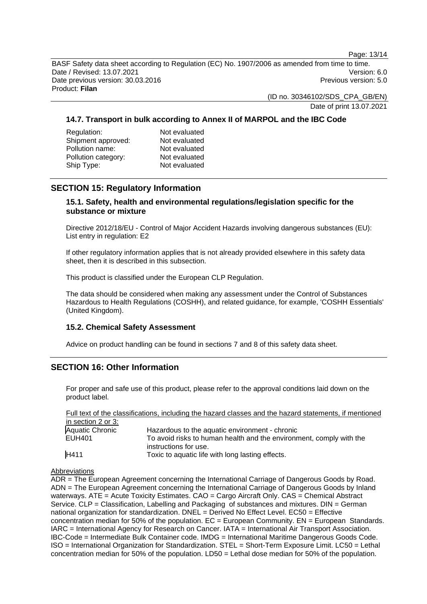Page: 13/14

BASF Safety data sheet according to Regulation (EC) No. 1907/2006 as amended from time to time. Date / Revised: 13.07.2021 Version: 6.0 Date previous version: 30.03.2016 **Previous version: 5.0** Previous version: 5.0 Product: **Filan** 

(ID no. 30346102/SDS\_CPA\_GB/EN)

Date of print 13.07.2021

# **14.7. Transport in bulk according to Annex II of MARPOL and the IBC Code**

| Regulation:         | Not evaluated |
|---------------------|---------------|
| Shipment approved:  | Not evaluated |
| Pollution name:     | Not evaluated |
| Pollution category: | Not evaluated |
| Ship Type:          | Not evaluated |

# **SECTION 15: Regulatory Information**

# **15.1. Safety, health and environmental regulations/legislation specific for the substance or mixture**

Directive 2012/18/EU - Control of Major Accident Hazards involving dangerous substances (EU): List entry in regulation: E2

If other regulatory information applies that is not already provided elsewhere in this safety data sheet, then it is described in this subsection.

This product is classified under the European CLP Regulation.

The data should be considered when making any assessment under the Control of Substances Hazardous to Health Regulations (COSHH), and related guidance, for example, 'COSHH Essentials' (United Kingdom).

# **15.2. Chemical Safety Assessment**

Advice on product handling can be found in sections 7 and 8 of this safety data sheet.

# **SECTION 16: Other Information**

For proper and safe use of this product, please refer to the approval conditions laid down on the product label.

Full text of the classifications, including the hazard classes and the hazard statements, if mentioned in section 2 or 3:<br>Aquatic Chronic Aquatic Chronic Hazardous to the aquatic environment - chronic<br>FUH401 FUH401 To avoid risks to human health and the environment, comply with the instructions for use. H411 Toxic to aquatic life with long lasting effects.

Abbreviations

ADR = The European Agreement concerning the International Carriage of Dangerous Goods by Road. ADN = The European Agreement concerning the International Carriage of Dangerous Goods by Inland waterways. ATE = Acute Toxicity Estimates. CAO = Cargo Aircraft Only. CAS = Chemical Abstract Service. CLP = Classification, Labelling and Packaging of substances and mixtures. DIN = German national organization for standardization. DNEL = Derived No Effect Level. EC50 = Effective concentration median for 50% of the population.  $EC = European Community$ .  $EN = European Standards$ . IARC = International Agency for Research on Cancer. IATA = International Air Transport Association. IBC-Code = Intermediate Bulk Container code. IMDG = International Maritime Dangerous Goods Code. ISO = International Organization for Standardization. STEL = Short-Term Exposure Limit. LC50 = Lethal concentration median for 50% of the population. LD50 = Lethal dose median for 50% of the population.